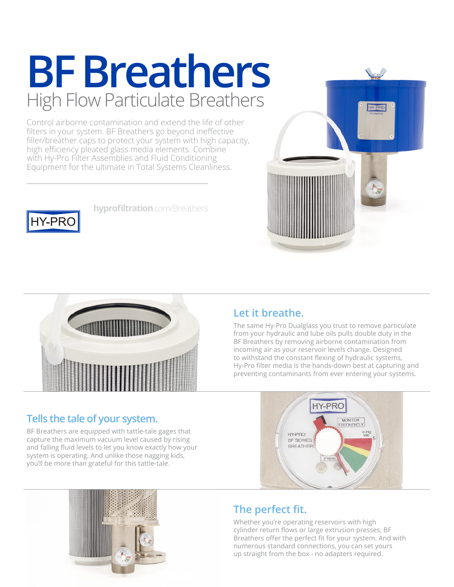### **BF Breathers** High Flow Particulate Breathers

Control airborne contamination and extend the life of other filters in your system. BF Breathers go beyond ineffective filler/breather caps to protect your system with high capacity, high efficiency pleated glass media elements. Combine with Hy-Pro Filter Assemblies and Fluid Conditioning Equipment for the ultimate in Total Systems Cleanliness.

**[hyprofiltration](http://www.hyprofiltration.com/breathers)**.com/Breathers





#### **Tells the tale of your system.**

**HY-PRC** 

BF Breathers are equipped with tattle-tale gages that capture the maximum vacuum level caused by rising and falling fluid levels to let you know exactly how your system is operating. And unlike those nagging kids, you'll be more than grateful for this tattle-tale.

### **Let it breathe.**

The same Hy-Pro Dualglass you trust to remove particulate from your hydraulic and lube oils pulls double duty in the BF Breathers by removing airborne contamination from incoming air as your reservoir levels change. Designed to withstand the constant flexing of hydraulic systems, Hy-Pro filter media is the hands-down best at capturing and preventing contaminants from ever entering your systems.





### **The perfect fit.**

Whether you're operating reservoirs with high cylinder return flows or large extrusion presses, BF Breathers offer the perfect fit for your system. And with numerous standard connections, you can set yours up straight from the box - no adapters required.